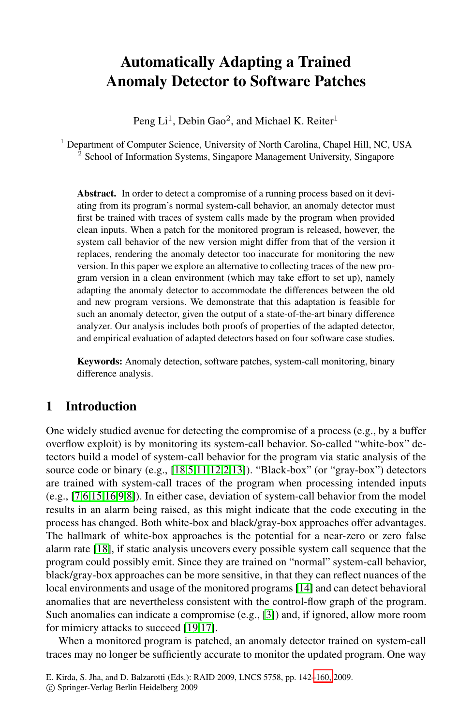# **Automatically Adapting a Trained Anomaly Detector to Software Patches**

Peng  $Li<sup>1</sup>$ , Debin Gao<sup>2</sup>, and Michael K. Reiter<sup>1</sup>

<sup>1</sup> Department of Computer Science, University of North Carolina, Chapel Hill, NC, USA  $2^{2}$  School of Information Systems, Singapore Management University, Singapore

**Abstract.** In order to detect a compromise of a running process based on it deviating from its program's normal system-call behavior, an anomaly detector must first be trained with traces of system calls made by the program when provided clean inputs. When a patch for the monitored program is released, however, the system call behavior of the new version might differ from that of the version it replaces, rendering the anomaly detector too inaccurate for monitoring the new version. In this paper we explore an alternative to collecting traces of the new program version in a clean environment (which may take effort to set up), namely adapting the anomaly detector to accommodate the differences between the old and new program versions. We demonstrate that this adaptation is feasible for such an anomaly detector, given the output of a state-of-the-art binary difference analyzer. Our analysis includes both proofs of properties of the adapted detector, and empirical evaluation of adapted detectors based on four software case studies.

**Keywords:** Anomaly detection, software patches, system-call monitoring, binary d[iffe](#page-14-0)[re](#page-13-0)[nce](#page-13-1) [ana](#page-13-2)[ly](#page-13-3)[sis.](#page-13-4)

# **1 Introduction**

One widely studied avenue for detecting the compromise of a process (e.g., by a buffer overflow exploit) is by monitoring its system-call behavior. So-called "white-box" detectors build a model of system-call behavior for the program via static analysis of the source code or binary (e.g., [18,5,11,12,2,13]). "Black-box" (or "gray-box") detectors are trained with system-call traces [of t](#page-13-5)he program when processing intended inputs (e.g., [7,6,15,16,9,8]). In either case, deviation of system-call behavior from the model results in an alarm being rai[sed](#page-13-6), as this might indicate that the code executing in the process ha[s ch](#page-14-1)[ang](#page-14-2)ed. Both white-box and black/gray-box approaches offer advantages. The hallmark of white-box approaches is the potential for a near-zero or zero false alarm rate [18], if static analysis uncovers every possible system call sequence that the program could possibly emit. Since they are trained on "normal" system-call behavior, black/gray-box approaches can be more [sensi](#page-18-0)tive, in that they can reflect nuances of the local environments and usage of the monitored programs [14] and can detect behavioral anomalies that are nevertheless consistent with the control-flow graph of the program. Such anomalies can indicate a compromise (e.g., [3]) and, if ignored, allow more room for mimicry attacks to succeed [19,17].

When a monitored program is patched, an anomaly detector trained on system-call traces may no longer be sufficiently accurate to monitor the updated program. One way

E. Kirda, S. Jha, and D. Balzarotti (Eds.): RAID 2009, LNCS 5758, pp. 142–160, 2009.

<sup>-</sup>c Springer-Verlag Berlin Heidelberg 2009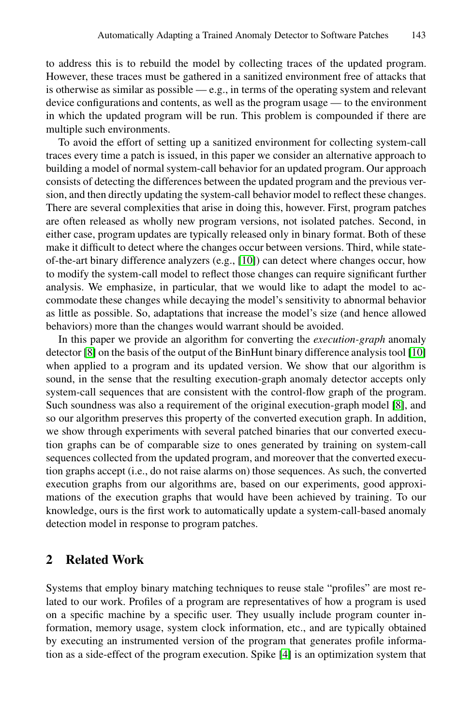to address this is to rebuild the model by collecting traces of the updated program. However, these traces must be gathered in a sanitized environment free of attacks that is otherwise as similar as possible  $-e.g.,$  in terms of the operating system and relevant device configurations and contents, as well as the program usage — to the environment in which the updated program will be run. This problem is compounded if there are multiple such environments.

To avoid the effort of setting up a sanitized environment for collecting system-call traces every time a patc[h is](#page-13-7) issued, in this paper we consider an alternative approach to building a model of normal system-call behavior for an updated program. Our approach consists of detecting the differences between the updated program and the previous version, and then directly updating the system-call behavior model to reflect these changes. There are several complexities that arise in doing this, however. First, program patches are often released as wholly new program versions, not isolated patches. Second, in either case, program updates are typically released only in binary format. Both of these make it difficult to detect where the changes occur between ver[sion](#page-13-7)s. Third, while stateof-the-art binary difference analyzers (e.g., [10]) can detect where changes occur, how to modify the system-call model to reflect those changes can require significant further analysis. We emphasize, in particular, that we would like to adapt the model to accommodate these changes while decaying the model's sen[siti](#page-13-8)vity to abnormal behavior as little as possible. So, adaptations that increase the model's size (and hence allowed behaviors) more than the changes would warrant should be avoided.

In this paper we provide an algorithm for converting the *execution-graph* anomaly detector [8] on the basis of the output of the BinHunt binary difference analysis tool [10] when applied to a program and its updated version. We show that our algorithm is sound, in the sense that the resulting execution-graph anomaly detector accepts only system-call sequences that are consistent with the control-flow graph of the program. Such soundness was also a requirement of the original execution-graph model [8], and so our algorithm preserves this property of the converted execution graph. In addition, we show through experiments with several patched binaries that our converted execution graphs can be of comparable size to ones generated by training on system-call sequences collected from the updated program, and moreover that the converted execution graphs accept (i.e., do not raise alarms on) those sequences. As such, the converted execution graphs from our algorithms are, based on our experiments, good approximations of the execution graphs that would have been achieved by training. To our knowledge, ours is the first work to automatically update a system-call-based anomaly detection model in response to program patches.

# **2 Related Work**

Systems that employ binary matching techniques to reuse stale "profiles" are most related to our work. Profiles of a program are representatives of how a program is used on a specific machine by a specific user. They usually include program counter information, memory usage, system clock information, etc., and are typically obtained by executing an instrumented version of the program that generates profile information as a side-effect of the program execution. Spike [4] is an optimization system that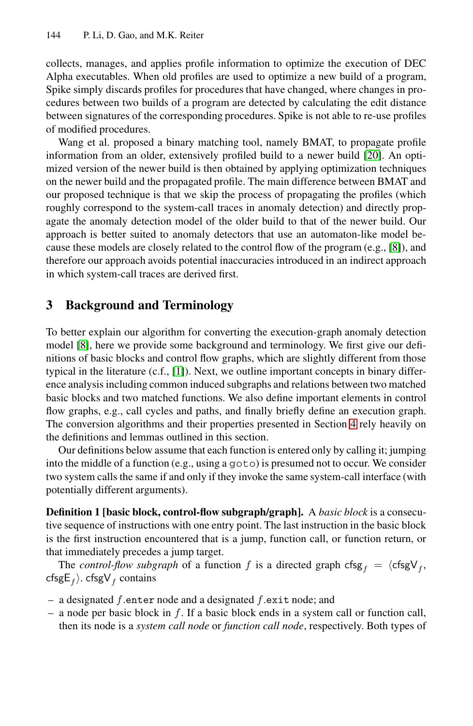collects, manages, and applies profile information [to](#page-14-3) [o](#page-14-3)ptimize the execution of DEC Alpha executables. When old profiles are used to optimize a new build of a program, Spike simply discards profiles for procedures that have changed, where changes in procedures between two builds of a program are detected by calculating the edit distance between signatures of the corresponding procedures. Spike is not able to re-use profiles of modified procedures.

<span id="page-2-0"></span>Wang et al. proposed a binary matching tool, namely [B](#page-13-8)MAT, to propagate profile information from an older, extensively profiled build to a newer build [20]. An optimized version of the newer build is then obtained by applying optimization techniques on the newer build and the propagated profile. The main difference between BMAT and our proposed technique is that we skip the process of propagating the profiles (which roughly correspond to the system-call traces in anomaly detection) and directly propagate the anomaly detection model of the older build to that of the newer build. Our approach is better suited to anomaly detectors that use an automaton-like model because these models are closely related to the control flow of the program (e.g., [8]), and therefore our approach avoids potential inaccuracies introduced in an indirect approach in which [sy](#page-13-9)stem-call traces are derived first.

## **3 Background and Terminology**

To better explain our algorithm for converting t[he](#page-6-0) execution-graph anomaly detection model [8], here we provide some background and terminology. We first give our definitions of basic blocks and control flow graphs, which are slightly different from those typical in the literature  $(c.f., [1])$ . Next, we outline important concepts in binary difference analysis including common induced subgraphs and relations between two matched basic blocks and two matched functions. We also define important elements in control flow graphs, e.g., call cycles and paths, and finally briefly define an execution graph. The conversion algorithms and their properties presented in Section 4 rely heavily on the definitions and lemmas outlined in this section.

<span id="page-2-1"></span>Our definitions below assume that each function is entered only by calling it; jumping into the middle of a function (e.g., using a  $q \circ t$ ) is presumed not to occur. We consider two system calls the same if and only if they invoke the same system-call interface (with potentially different arguments).

**Definition 1 [basic block, control-flow subgraph/graph].** A *basic block* is a consecutive sequence of instructions with one entry point. The last instruction in the basic block is the first instruction encountered that is a jump, function call, or function return, or that immediately precedes a jump target.

The *control-flow subgraph* of a function f is a directed graph  $\text{cfsg}_f = \langle \text{cfsgV}_f, \text{gfsgV}_f \rangle$ cfsg $E_f$ ). cfsg $V_f$  contains

- a designated  $f$  enter node and a designated  $f$  exit node; and
- a node per basic block in  $f$ . If a basic block ends in a system call or function call, then its node is a *system call node* or *function call node*, respectively. Both types of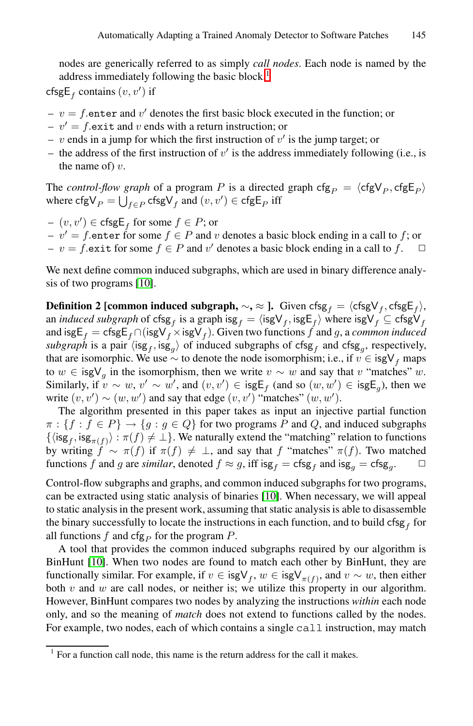nodes are generically referred to as simply *call nodes*. Each node is named by the address immediately following the basic block.<sup>1</sup>

cfsg $E_f$  contains  $(v, v')$  if

- $v = f$  enter and  $v'$  denotes the first basic block executed in the function; or  $v' = f$  exiting the view in a return instruction; or
- $v' = f$  exit and v ends with a return instruction; or<br> $v' = v$  ends in a jump for which the first instruction of  $v'$
- v ends in a jump for which the first instruction of v' is the jump target; or<br>
 the address of the first instruction of v' is the address immediately follow
- the address of the first instruction of  $v'$  is the address immediately following (i.e., is the name of)  $v$ the name of)  $v$ .

<span id="page-3-0"></span>[The](#page-13-7) *control-flow graph* of a program P is a directed graph cfg<sub>P</sub> =  $\langle cfgV_P, cfgE_P \rangle$ <br>where  $cfgV = -11$   $cfsgV$ , and  $(v, v') \in cfsF$ , iff where  $\text{cfgV}_P = \bigcup_{f \in P} \text{cfsgV}_f$  and  $(v, v') \in \text{cfgE}_P$  iff

 $(- (v, v') \in \text{cfsgE}_f \text{ for some } f \in P; \text{ or }$ <br>  $(v, v') = f \text{ enter for some } f \in P \text{ and } g$ 

 $- v' = f$  enter for some  $f \in P$  and v denotes a basic block ending in a call to f; or  $- v = f$  exit for some  $f \in P$  and v' denotes a basic block ending in a call to f  $- v = f$ . exit for some  $f \in P$  and  $v'$  denotes a basic block ending in a call to  $f$ .  $\Box$ 

We next define common induced subgraphs, which are used in binary difference analysis of two programs [10].

**Definition 2 [common induced subgraph,**  $\sim$ **,**  $\approx$  **].** Given cfsg<sub>f</sub> =  $\langle$ cfsgV<sub>f</sub>, cfsgE<sub>f</sub> $\rangle$ , an induced subgraph of cfsg, is a graph isg,  $-$  /isgV, isgE,  $\rangle$  where isgV,  $\subset$  cfsgV, an *induced subgraph* of cfsg<sub>f</sub> is a graph  $\log_f = \langle \text{isgV}_f, \text{isgE}_f \rangle$  where  $\log V_f \subseteq \text{cfsgV}_f$ <br>and  $\log \epsilon = -\epsilon \log \log \sqrt{1 + \log \log \epsilon}$ . and  $\text{isgE}_f = \text{cfsgE}_f \cap (\text{isgV}_f \times \text{isgV}_f)$ . Given two functions f and g, a *common induced* subgraph is a pair (isg, isg.) of induced subgraphs of cfsg, and cfsg. respectively *subgraph* is a pair  $\langle \text{isg}_f, \text{isg}_g \rangle$  of induced subgraphs of cfsg<sub>f</sub> and cfsg<sub>g</sub>, respectively, that are isomorphic. We use  $\sim$  to denote the node isomorphism: i.e., if  $v \in \text{isgV}$ , mans that are isomorphic. We use  $\sim$  to denote the node isomorphism; i.e., if  $v \in \text{isgV}_f$  maps to  $w \in \text{isgV}_q$  in the isomorphism, then we write  $v \sim w$  and say that v "matches" w. Similarly, if  $v \sim w$ ,  $v' \sim w'$ , and  $(v, v') \in \text{isgE}_f$  (and so  $(w, w') \in \text{isgE}_g$ ), then we write  $(v, v') \sim (w, w')$  and so that edge  $(v, v')$  "matches"  $(w, w')$ wri[t](#page-13-7)e  $(v, v') \sim (w, w')$  and s[ay](#page-13-7) that edge  $(v, v')$  "matches"  $(w, w')$ .<br>The algorithm presented in this paper takes as input an inject

The algorithm presented in this paper takes as input an injective partial function  $\pi : \{f : f \in P\} \rightarrow \{g : g \in Q\}$  for two programs P and Q, and induced subgraphs  $\{\langle \text{isg}_f, \text{isg}_{\pi(f)} \rangle : \pi(f) \neq \bot\}$ . We naturally extend the "matching" relation to functions<br>by writing  $f \sim \pi(f)$  if  $\pi(f) \neq \bot$  and say that f "matches"  $\pi(f)$ . Two matched by writing  $f \sim \pi(f)$  if  $\pi(f) \neq \bot$ , and say that f "matches"  $\pi(f)$ . Two matched functions f and g are similar denoted  $f \approx g$  iff isg. – cfsg. and isg. – cfsg. functions f and g are *similar*, denoted  $f \approx g$ , iff  $\log_f = \text{cfsg}_f$  and  $\log_g = \text{cfsg}_g$ .

Control-flow subgraphs and graphs, and common induced subgraphs for two programs, can be extracted using static analysis of binaries [10]. When necessary, we will appeal to static analysis in the present work, assuming that static analysis is able to disassemble the binary successfully to locate the instructions in each function, and to build cfsg<sub>f</sub> for all functions f and cfg<sub>f</sub> for the program  $P$ all functions f and cfg<sub>P</sub> for the program P.

A tool that provides the common induced subgraphs required by our algorithm is BinHunt [10]. When two nodes are found to match each other by BinHunt, they are functionally similar. For example, if  $v \in \text{isgV}_f$ ,  $w \in \text{isgV}_{\pi(f)}$ , and  $v \sim w$ , then either both  $v$  and  $w$  are call nodes, or neither is; we utilize this property in our algorithm. However, BinHunt compares two nodes by analyzing the instructions *within* each node only, and so the meaning of *match* does not extend to functions called by the nodes. For example, two nodes, each of which contains a single call instruction, may match

<sup>&</sup>lt;sup>1</sup> For a function call node, this name is the return address for the call it makes.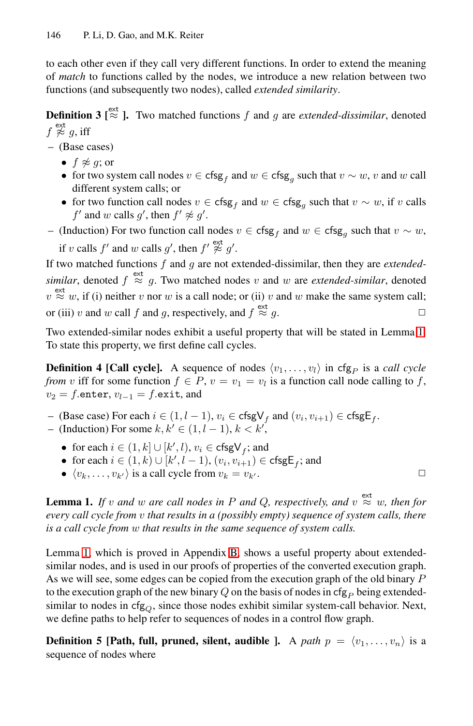<span id="page-4-1"></span>to each other even if they call very different functions. In order to extend the meaning of *match* to functions called by the nodes, we introduce a new relation between two functions (and subsequently two nodes), called *extended similarity*.

**Definition 3**  $\begin{bmatrix} \infty^{\text{ext}} \\ \infty \end{bmatrix}$ . Two matched functions f and g are *extended-dissimilar*, denoted  $f \stackrel{\text{ext}}{\approx} g$ , iff

– (Base cases)

- 
- $f \not\approx g$ ; or<br>• for two sy • for two system call nodes  $v \in \text{cfsg}_f$  and  $w \in \text{cfsg}_g$  such that  $v \sim w$ , v and w call different system calls; or
- for two function call nodes  $v \in \text{cfsg}_f$  and  $w \in \text{cfsg}_g$  such that  $v \sim w$ , if v calls  $f'$  and w calls  $g'$ , then  $f' \not\approx g'$ .<br>dentices Francisco soll
- (Induction) For two function call nodes  $v \in \text{cfsg}_f$  $v \in \text{cfsg}_f$  $v \in \text{cfsg}_f$  and  $w \in \text{cfsg}_g$  such that  $v \sim w$ , if v calls f' and w calls g', then  $f' \overset{\text{ext}}{\not\approx} g'$ .

If two matched functions f and g are not extended-dissimilar, then they are *extendedsimilar*, denoted  $f \approx g$ . Two matched nodes v and w are *extended-similar*, denoted  $v \stackrel{\text{ext}}{\approx} w$ , if (i) neither v nor w is a call node; or (ii) v and w make the same system call; or (iii) v and w call f and g, respectively, and  $f \stackrel{\text{ext}}{\approx} q$ .  $\approx g$ .  $\Box$ 

Two extended-similar nodes exhibit a useful property that will be stated in Lemma 1. To state this property, we first define call cycles.

<span id="page-4-0"></span>**Definition 4 [Call cycle].** A sequence of nodes  $\langle v_1, \ldots, v_l \rangle$  in cfg<sub>P</sub> is a *call cycle* from *v* iff for some function  $f \in P, v = v_1 = v_2$  is a function call node calling to f *from* v iff for some function  $f \in P$ ,  $v = v_1 = v_i$  is a function call node calling to f,  $v_2 = f$ .enter,  $v_{l-1} = f$ .exit, and

- (Base case) For each  $i \in (1, l 1)$ ,  $v_i \in \text{cfsgV}_f$  and  $(v_i, v_{i+1}) \in \text{cfsgE}_f$ .<br>
 (Induction) For some  $k \leq (1, l 1)$ ,  $k \leq k'$
- (Induction) For some  $k, k' \in (1, l-1), k < k'$ ,
	- for each  $i \in (1, k] \cup [k', l), v_i \in \text{cfgV}_f$  $i \in (1, k] \cup [k', l), v_i \in \text{cfgV}_f$  $i \in (1, k] \cup [k', l), v_i \in \text{cfgV}_f$ ; and<br>
	 for each  $i \in (1, k) \cup [k', l 1)$  (*n*, *n*<sub>1111</sub>)  $\in$
	- for each  $i \in (1, k) \cup [k', l-1), (v_i, v_{i+1}) \in \text{cfsgE}_f$ ; and<br>
	  $\binom{n}{k}$ ,  $\binom{n}{k}$  is a call evel from  $v_i = v_i$ .
	- $\langle v_k, \ldots, v_{k'} \rangle$  is a call cycle from  $v_k = v_{k'}$

 $\overline{\phantom{a}}$  .  $\overline{\phantom{a}}$ 

**Lemma 1.** *If* v and w are call nodes in P and Q, respectively, and  $v \approx w$ , then for even call cycle from *y* that results in a (possibly empty) sequence of system calls, there *every call cycle from* v *that results in a (possibly empty) sequence of system calls, there is a call cycle from* w *that results in the same sequence of system calls.*

Lemma 1, which is proved in Appendix B, shows a useful property about extendedsimilar nodes, and is used in our proofs of properties of the converted execution graph. As we will see, some edges can be copied from the execution graph of the old binary P to the execution graph of the new binary Q on the basis of nodes in cfg<sub>P</sub> being extendedsimilar to nodes in  $\text{cfg}_Q$ , since those nodes exhibit similar system-call behavior. Next, we define paths to help refer to sequences of nodes in a control flow graph.

**Definition 5 [Path, full, pruned, silent, audible ].** A *path*  $p = \langle v_1, \ldots, v_n \rangle$  is a sequence of nodes where sequence of nodes where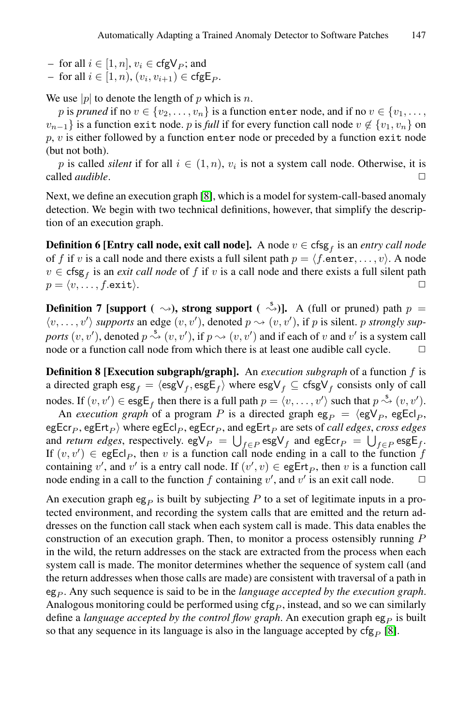- for all  $i \in [1, n], v_i \in \text{cfgV}_P$ ; and
- for all *i* ∈ [1, *n*),  $(v_i, v_{i+1})$  ∈ cfgE<sub>*p*</sub>.

We use |p| to d[en](#page-13-8)ote the length of p which is n.

p is *pruned* if no  $v \in \{v_2, \ldots, v_n\}$  is a function enter node, and if no  $v \in \{v_1, \ldots, v_n\}$  $v_{n-1}$ } is a function exit node. p is *full* if for every function call node  $v \notin \{v_1, v_n\}$  on  $v$  is either followed by a function enter node or preceded by a function exit node  $p, v$  is either followed by a function enter node or preceded by a function exit node (but not both).

p is called *silent* if for all  $i \in (1, n)$ ,  $v_i$  is not a system call node. Otherwise, it is lead *audible* called *audible*.

Next, we define an execution graph [8], which is a model for system-call-based anomaly detection. We begin with two technical definitions, however, that simplify the description of an execution graph.

**Definition 6 [Entry call node, exit call node].** A node  $v \in \text{cfsg}_f$  is an *entry call node* of f if v is a call node and there exists a full silent path  $p = \langle f.\text{enter}, \ldots, v \rangle$ . A node<br> $v \in \text{cfs}$  is an exit call node of f if v is a call node and there exists a full silent path  $v \in \text{cfsg}_f$  is an *exit call node* of f if v is a call node and there exists a full silent path  $p = \langle v, \ldots, f. \mathtt{exit} \rangle$ .

**Definition 7 [support (** $\rightsquigarrow$ ), strong support ( $\rightsquigarrow$ )]. A (full or pruned) path p =  $\langle v, \ldots, v' \rangle$  supports an edge  $(v, v')$ , denoted  $p \rightsquigarrow (v, v')$ , if p is silent. p *strongly sup-*<br>parts (v, v'), denoted p  $z^2$ , (v, v'), if  $p \rightarrow (v, v')$  and if each of v and v' is a system call *ports* (v, v- ), denoted  $p \stackrel{s}{\leadsto} (v, v')$ , if  $p \leadsto (v, v')$  and if each of v and v' is a system call<br>unction call node from which there is at least one audible call cycle node or a function call node from which there is at least one audible call cycle.  $\Box$ 

**Definition 8 [Execution subgraph/graph].** An *execution subgraph* of a function f is a directed graph  $\text{ess}_f = \langle \text{ess} \mathsf{V}_f, \text{ess} \mathsf{E}_f \rangle$  where  $\text{ess} \mathsf{V}_f \subseteq \text{cfsg} \mathsf{V}_f$  consists only of call nodes. If  $(v, v') \in \text{ess} \mathbb{E}_f$  then there is a full path  $p = \langle v, \dots, v' \rangle$ <br>An execution graph of a program P is a directed graph  $\epsilon$ such that  $p \stackrel{s}{\leadsto} (v, v')$ .

An *execution graph* of a program P is a directed graph  $eg_P = \langle egV_P, egEcl_P,$ <br>For  $-geFt + \lambda$  where  $geFcl - eqFcr$  and  $geFt + \lambda$  are sets of call edges cross edges egEcr<sub>P</sub>, egErt<sub>P</sub> $\rangle$  where egEcl<sub>P</sub>, egEcr<sub>P</sub>, and egErt<sub>P</sub> are sets of *call edges*, *cross edges*<br>and *return edges*, respectively, eg $V = \pm 1$ , egg $V$ , and egEcr<sub>pp</sub> =  $\pm 1$ , eggE and *return edges*, respectively.  $egV_P = \bigcup_{f \in P} e^{f} \cdot g \cdot V_f$  and  $egEcr_P = \bigcup_{f \in P} e^{f} \cdot g \cdot g \cdot F_f$ .<br>If  $(v, v') \in \text{erFcl}_p$  then *n* is a function call node ending in a call to the function f If  $(v, v') \in \text{egEcl}_P$ , then v is a function call node ending in a call to the function f<br>containing v' and v' is a entry call node. If  $(v', v) \in \text{erFrt}_P$  then v is a function call containing v', and v' is a entry call node. If  $(v', v) \in \text{egErt}_P$ , then v is a function call<br>node ending in a call to the function f containing v' and v' is an exit call node node ending in a call to the function f containing v', and v' is an exit call node.  $\Box$ 

An execution graph eg<sub>P</sub> is built by subjecting P to a set of legitimate inputs in a pro-<br>tected environment, and recording the system calls that are emitted and the return adtected environment, and recording the system calls that are emitted and the return addresses on the function call stack when each system call [is](#page-13-8) made. This data enables the construction of an execution graph. Then, to monitor a process ostensibly running P in the wild, the return addresses on the stack are extracted from the process when each system call is made. The monitor determines whether the sequence of system call (and the return addresses when those calls are made) are consistent with traversal of a path in eg<sub>P</sub>. Any such sequence is said to be in the *language accepted by the execution graph*.<br>Analogous monitoring could be performed using  $cfs$ , instead, and so we can similarly Analogous monitoring could be performed using cfg<sub>P</sub>, instead, and so we can similarly<br>define a *language accepted* by the control flow graph. An execution graph on sig built define a *language accepted by the control flow graph*. An execution graph  $eg_P$  is built so that any sequence in its language is also in the language accepted by  $cf_R$  [8] so that any sequence in its language is also in the language accepted by  $cfg_P$  [8].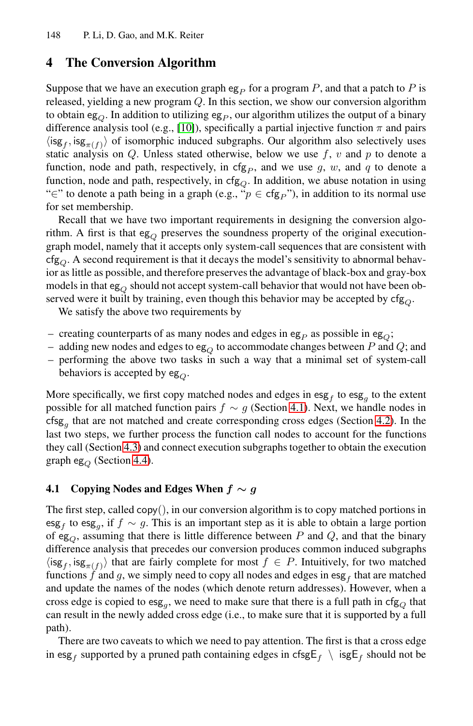## <span id="page-6-0"></span>**4 The Conversion Algorithm**

Suppose that we have an execution graph eg<sub>P</sub> for a program P, and that a patch to P is<br>released vielding a new program Q. In this section, we show our conversion algorithm released, yielding a new program Q. In this section, we show our conversion algorithm to obtain eg<sub>Q</sub>. In addition to utilizing eg<sub>P</sub>, our algorithm utilizes the output of a binary<br>difference analysis tool (e.g., [10]), specifically a partial injective function  $\pi$  and pairs difference analysis tool (e.g., [10]), specifically a partial injective function  $\pi$  and pairs  $\langle \text{isg}_f, \text{isg}_{\pi(f)} \rangle$  of isomorphic induced subgraphs. Our algorithm also selectively uses<br>static analysis on O. Unless stated otherwise, below we use f, y and n to denote a static analysis on  $Q$ . Unless stated otherwise, below we use  $f$ ,  $v$  and  $p$  to denote a function, node and path, respectively, in cfg<sub>P</sub>, and we use g, w, and q to denote a<br>function node and path respectively in cfg<sub>P</sub>. In addition, we abuse notation in using function, node and path, respectively, in cfg<sub>Q</sub>. In addition, we abuse notation in using<br>"C" to denote a path being in a graph (e.g. "n C cfg. "), in addition to its normal use "∈" to denote a path being in a graph (e.g.,  $\tilde{p} \in \text{cfg}_P$ "), in addition to its normal use for set membership.

Recall that we have two important requirements in designing the conversion algorithm. A first is that  $eg_Q$  preserves the soundness property of the original execution-<br>graph model, pamely that it accents only system call sequences that are consistent with graph model, namely that it accepts only system-call sequences that are consistent with cfg<sub>Q</sub>. A second requirement is that it decays the model's sensitivity to abnormal behav-<br>ior as little as possible, and therefore preserves the advantage of black, boy and gray boy ior as little as possible, and therefore preserves the advantage of black-box and gray-box models in that  $eg_Q$  should not accept system-call behavior that would not have been ob-<br>served were it built by training, even though this behavior may be accepted by cfg. served were it built by training, even though this behavior may be accepted by cfg<sub>Q</sub>.<br>We satisfy the above two requirements by

We satisfy the above two requir[eme](#page-6-1)nts by

- creating counterparts of as many nodes and edges in eg<sub>P</sub> as possible in eg<sub>Q</sub>;<br>adding new nodes and edges to eg, to accommodate changes between P and
- adding new nodes and edges to eg<sub>Q</sub> to accommodate changes between P and Q; and  $Q$ ; and  $\overline{Q}$ ; and  $\overline{Q}$ ; and  $\overline{Q}$ ; and  $\overline{Q}$ ; and  $\overline{Q}$ ; and  $\overline{Q}$ ; and  $\overline{Q}$ ; and  $\overline{Q}$ ; and  $\overline{Q}$ ; and  $\overline$
- [–](#page-9-0) performing the above two tasks in such a way that a minimal set of system-call behaviors is accepted by eg<sub>Q</sub>.

<span id="page-6-1"></span>More specifically, we first copy matched nodes and edges in  $\text{e}$ g to  $\text{e}$ g to the extent possible for all matched function pairs  $f \circ \text{e}$  a (Section 4.1). Next, we handle nodes in possible for all matched function pairs  $f \sim g$  (Section 4.1). Next, we handle nodes in cfsg<sub>g</sub> that are not matched and create corresponding cross edges (Section 4.2). In the last two steps we further process the function call nodes to account for the functions last two steps, we further process the function call nodes to account for the functions they call (Section 4.3) and connect execution subgraphs together to obtain the execution graph eg $_Q$  (Section 4.4).

## **4.1 Copying Nodes and Edges When**  $f \sim g$

The first step, called copy(), in our conversion algorithm is to copy matched portions in  $\text{ess}_{f}$  to esg<sub>g</sub>, if  $f \sim g$ . This is an important step as it is able to obtain a large portion<br>of exacusing that there is little difference between P and O and that the binary of eg<sub>Q</sub>, assuming that there is little difference between P and Q, and that the binary<br>difference analysis that precedes our conversion produces common induced subgraphs difference analysis that precedes our conversion produces common induced subgraphs  $\langle \text{isg}_f, \text{isg}_{\pi(f)} \rangle$  that are fairly complete for most  $f \in P$ . Intuitively, for two matched<br>functions f and g we simply need to copy all nodes and edges in esg , that are matched functions f and g, we simply need to copy all nodes and edges in esg<sub>f</sub> that are matched and update the names of the nodes (which denote return addresses). However, when a cross edge is copied to esg<sub>g</sub>, we need to make sure that there is a full path in cfg<sub>Q</sub> that<br>can result in the newly added cross edge (i.e., to make sure that it is supported by a full can result in the newly added cross edge (i.e., to make sure that it is supported by a full path).

There are two caveats to which we need to pay attention. The first is that a cross edge in esg<sub>f</sub> supported by a pruned path containing edges in cfsg $\mathsf{E}_f \setminus \text{isg}\mathsf{E}_f$  should not be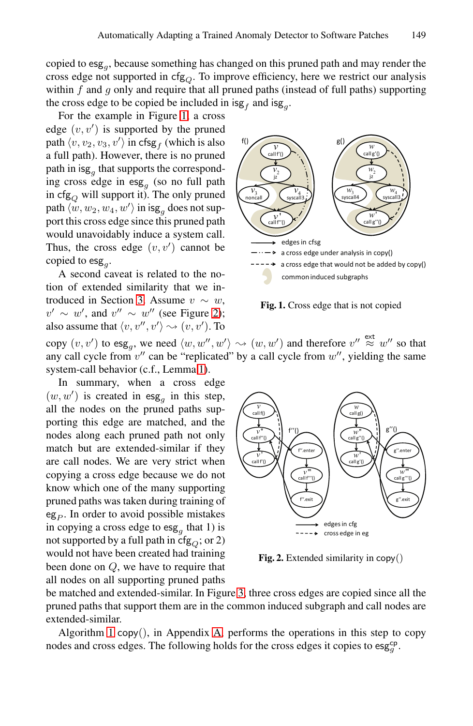copied to esg<sub>g</sub>, because something has changed on this pruned path and may render the cross edge not supported in cfg. To improve efficiency, here we restrict our analysis cross edge not supported in cfg<sub>Q</sub>. To improve efficiency, here we restrict our analysis<br>within f and a only and require that all pruned paths (instead of full paths) supporting within  $f$  and  $g$  only and require that all pruned paths (instead of full paths) supporting the cross edge to be copied be included in  $\text{isg}_f$  and  $\text{isg}_g$ .<br>For the example in Figure 1, a cross

For the example in Figure 1, a cross edge  $(v, v')$  is supported by the pruned<br>path  $(v, v_0, v_0, v')$  in cfsg. (which is also path  $\langle v, v_2, v_3, v' \rangle$  in cfsg<sub>f</sub> (which is also<br>a full path). However, there is no pruned a full path). However, there is no pruned path in  $\text{isg}_g$  that supports the correspond-<br>ing cross edge in esg. (so no full path ing cross edge in esg<sub>g</sub> (so no full path<br>in cfg, will support it). The only pruned [in](#page-2-0) cfg<sub>Q</sub> will support it). The only pruned<br>path  $\langle w, w \rangle$  in its does not suppath  $\langle w, w_2, w_4, w' \rangle$  $\langle w, w_2, w_4, w' \rangle$  $\langle w, w_2, w_4, w' \rangle$  in isg<sub>g</sub> does not sup-<br>port this cross edge since this pruned path port this cross edge since this pruned path would unavoidably induce a system call. Thus, the cross edge  $(v, v')$  cannot be<br>conject to sex copied to esg<sub>g</sub>.<br>A second ci

A second [cav](#page-4-0)eat is related to the notion of extended similarity that we introduced in Section 3. Assume  $v \sim w$ ,  $v' \sim w'$ , and  $v'' \sim w''$  (see Figure 2);<br>also assume that  $\langle v, v'' \rangle v' \sim \langle v, v' \rangle$  To also assume that  $\langle v, v'', v' \rangle \sim (v, v')$ . To copy  $(v, v')$  to esg<sub>g</sub>, we need  $\langle w, w'', w' \rangle \sim (w, w')$  and therefore  $v'' \stackrel{\text{ext}}{\approx} w''$  so that any call cycle from  $v''$  can be "replicated" by a call cycle from  $w''$ , yielding the same<br>system-call behavior (c.f. I emma 1) system-call behavior (c.f., Lemma 1).

In summary, when a cross edge  $(w, w')$  is created in esg<sub>g</sub> in this step,<br>all the nodes on the pruned paths supall the nodes on the pruned paths supporting this edge are matched, and the nodes along each pruned path not only match but are extended-similar if they are call nodes. We are very strict when copying a cross edge because we do not know which one of th[e m](#page-8-0)any supporting pruned paths was taken during training of eg<sub>P</sub>. In order to avoid possible mistakes<br>in conving a cross edge to esg, that 1) is in copying a cro[ss e](#page-14-4)dge to esg<sub>g</sub> that 1) is<br>not supported by a full path in  $c(x, y, z)$ not supported by a full path in cfg<sub>Q</sub>; or 2)<br>would not have been created had training would not have been created had training been done on Q, we have to require that all nodes on all supporting pruned paths



**Fig. 1.** Cross edge that is not copied

<span id="page-7-0"></span>edges in cfg cross edge in eg f''() call f() call f''() call f'() f''.enter call g() call g''() call g'() f''.exit call f'''() g''.enter g''.exit call g'''() g''() *w w*' *w*'' *v v* ' *v* '' *v* " *w*''

**Fig. 2.** Extended similarity in copy()

<span id="page-7-1"></span>be matched and extended-similar. In Figure 3, three cross edges are copied since all the pruned paths that support them are in the common induced subgraph and call nodes are extended-similar.

Algorithm 1 copy $()$ , in Appendix A, performs the operations in this step to copy nodes and cross edges. The following holds for the cross edges it copies to  $\text{ess}_{g}^{\text{cp}}$ .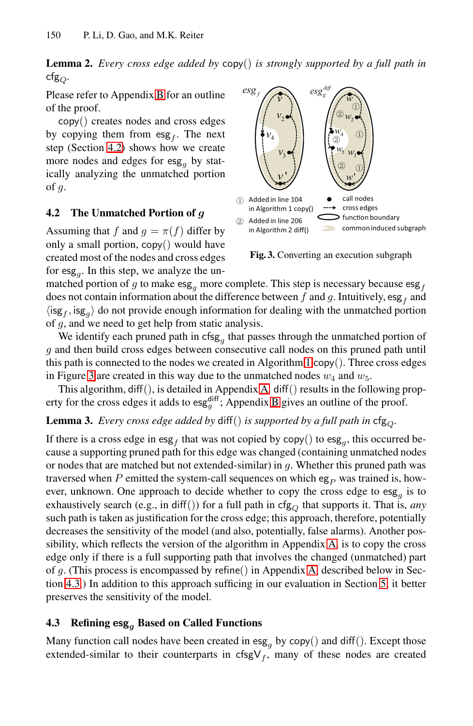**Lemma 2.** *Every cross edge added by* copy() *is strongly supported by a full path in* cfgQ*.*

Please refer to Appendix B for an outline of the proof.

copy() creates nodes and cross edges by copying them from esg<sub>f</sub>. The next<br>stap (Section 4.2) shows how we create step (Section 4.2) shows how we create more nodes and edges for  $\text{ess}_g$  by stat-<br>ically analyzing the unpatched portion ically analyzing the unmatched portion of  $g$ .

#### **4.2 The Unmatched Portion of** *g*

Assuming that f and  $q = \pi(f)$  differ by only a small portion, copy() would have created most of the nodes and cross ed[ges](#page-14-5) for esg<sub>g</sub>. In this step, we analyze the un-<br>matched portion of a to make esg more

<span id="page-8-0"></span>

**Fig. 3.** Converting an execution subgraph

<span id="page-8-1"></span>matched portion of g to ma[ke](#page-14-4)  $\text{esg}_q$  more complete. This step is necessary because  $\text{esg}_f$ does not contain information a[bou](#page-16-0)t the difference between f and g. Intuitively, esg  $_f$  and  $\langle \text{isg}_f, \text{isg}_g \rangle$  do not provide enough information for dealing with the unmatched portion<br>of a and we need to get help from static analysis of  $g$ , and we need to get help from static analysis.

We identify each pruned path in cfsg<sub>g</sub> that passes through the unmatched portion of<br>and then build cross edges between consecutive call podes on this pruned path until g and then build cross edges between consecutive call nodes on this pruned path until this path is connected to the nodes we created in Algorithm 1 copy(). Three cross edges in Figure 3 are created in this way due to the unmatched nodes  $w_4$  and  $w_5$ .

This algorithm, diff(), is detailed in Appendix A. diff() results in the following property for the cross edges it adds to  $\text{esg}^{\text{diff}}$ ; Appendix B gives an outline of the proof.

# **Lemma 3.** *Every cross edge added by* diff() *is supported by a full path in*  $\text{cfg}_Q$ *.*

If there is a cross edge in esg<sub>f</sub> that was not [co](#page-14-4)pied by copy() to esg<sub>g</sub>, this occurred be-<br>cause a supporting pruned path for this edge was changed (containing unpatched podes) cause a supporting pruned path for this edge was changed (containing unmatched nodes or nodes that are matched but not exte[nde](#page-14-4)d-similar) in  $q$ . Whether this pruned path was traversed [w](#page-10-0)hen P emitted the system-call sequences on which eg<sub>P</sub> was trained is, however, unknown. One approach to decide whether to copy the cross edge to  $\text{e}$ g is to explanatively search (e.g. in diff()) for a full path in cfg. that supports it. That is, any exhaustively search (e.g., in diff()) for a full path in cfg<sub>Q</sub> that supports it. That is, *any*<br>such path is taken as justification for the cross edge; this approach, therefore, potentially such path is taken as justification for the cross edge; this approach, therefore, potentially decreases the sensitivity of the model (and also, potentially, false alarms). Another possibility, which reflects the version of the algorithm in Appendix A, is to copy the cross edge only if there is a full supporting path that involves the changed (unmatched) part of g. (This process is encompassed by refine() in Appendix A, described below in Section 4.3.) In addition to this approach sufficing in our evaluation in Section 5, it better preserves the sensitivity of the model.

## **4.3 Refining esg***g* **Based on Called Functions**

Many function call nodes have been created in esg<sub>g</sub> by copy() and diff(). Except those extended-similar to their counterparts in  $cfsgV_f$ , many of these nodes are created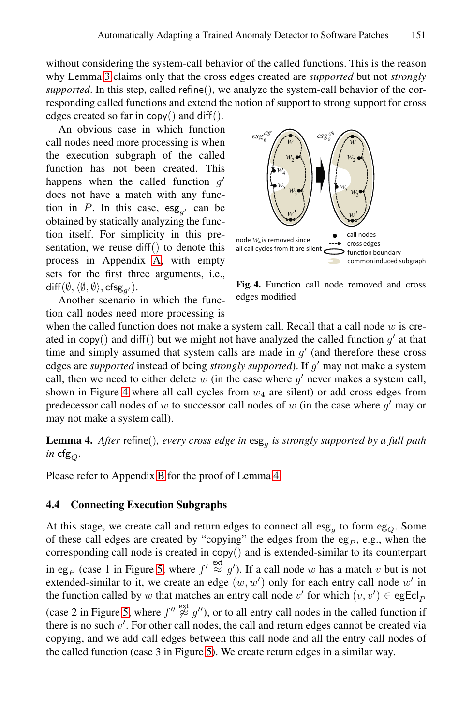without considering the system-call behavior of the called functions. This is the reason why Lemma 3 claims only that the cross edges created are *supported* but not *strongly supported*. In this step, called refine(), we analyze the system-call behavior of the corresponding called functions and extend the notion of support to strong support for cross edges created so far in copy() and diff().

An obvious case in which function call nodes need more processing is when the [e](#page-14-4)xecution subgraph of the called function has not been created. This happens when the called function  $g'$ <br>does not have a match with any funcdoes not have a match with any function in P. In this case,  $\text{esg}_g$  can be<br>obtained by statically analyzing the funcobtained by statically analyzing the function itself. For simplicity in this presentation, we reuse diff() to denote this process in Appendix A, with empty sets for the first three arguments, i.e., diff( $\emptyset$ ,  $\langle \emptyset, \emptyset \rangle$ , cfsg<sub>g'</sub>).<br>Another scenario

Another scenario in which the function call nodes need more processing is



**Fig. 4.** Function call node removed and cross edges modified

<span id="page-9-1"></span>when the called function does not make a system call. Recall that a call node  $w$  is created in copy() and diff() but we might not have analyzed the called function  $g'$  at that<br>time and simply assumed that system calls are made in  $g'$  (and therefore these cross time and simply assumed that system calls are made in  $g'$  (and therefore these cross<br>edges are supported instead of being strongly supported). If  $g'$  may not make a system edges are *supported* instead of being *strongly supported*). If  $g'$  may not make a system call then we need to either delete *u*, (in the case where  $g'$  never makes a system call call, [th](#page-16-0)en we need to either de[let](#page-9-1)e w (in the case where  $g'$  never makes a system call, shown in Figure 4, where all call cycles from  $w_t$  are silent) or add cross edges from shown in Figure 4 where all call cycles from  $w_4$  are silent) or add cross edges from predecessor call nodes of w to successor call nodes of w (in the case where  $g'$  may or may not make a system call) may not make a system call).

<span id="page-9-0"></span>**Lemma 4.** *After* refine()*, every cross edge in* esgg *is strongly supported by a full path*  $in$  cfg<sub>Q</sub>.

Plea[se](#page-10-1) refer to Appendix B for the proof of Lemma 4.

## **4.4 Connecting Execution Subgraphs**

At this stage, we create call and return edges to connect all esg<sub>g</sub> to form eg<sub>Q</sub>. Some<br>of these call edges are created by "conving" the edges from the eg<sub>n</sub> e.g. when the of these call edges are created by "copying" the edges from the eg<sub>P</sub>, e.g., when the corresponding call pode is created in  $conv()$  and is extended similar to its counterpart corresponding [cal](#page-10-1)l node is created in copy() and is extended-similar to its counterpart in eg<sub>P</sub> (case 1 in Figure 5, where  $f' \approx g'$ ). If a call node w has a match v but is not<br>extended similar to it, we create an edge (w w') only for each entry call node w' in extended-similar to it, we create an edge  $(w, w')$  only for each entry call node w' in<br>the function called by w that matches an entry call node w' for which  $(w, w') \in \text{erEcl}$ the function called by w that matches an entry call node v' for which  $(v, v') \in$  egEcl (case 2 in Figure 5, where  $f'' \stackrel{\text{ext}}{\not\sim} g''$ ), or to all entry call nodes in the called function if there is no such  $v'$ . For other call nodes, the call and return edges cannot be created via<br>conving and we add call edges between this call node and all the entry call nodes of copying, and we add call edges between this call node and all the entry call nodes of the called function (case 3 in Figure 5). We create return edges in a similar way.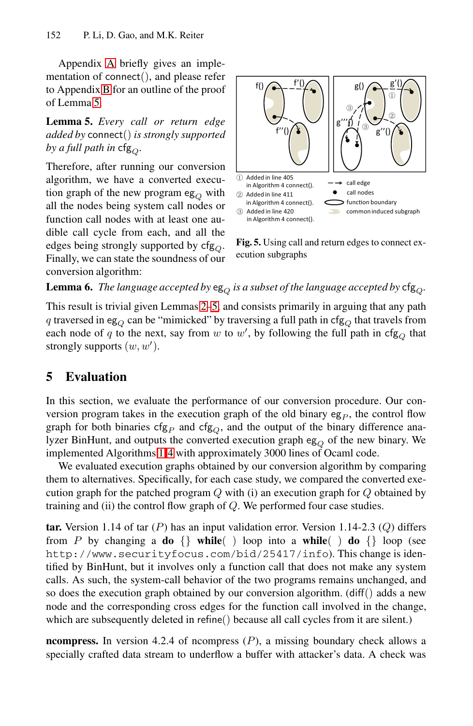<span id="page-10-2"></span>Appendix A briefly gives an implementation of connect(), and please refer to Appendix B for an outline of the proof of Lemma 5.

**Lemma 5.** *Every call or return edge added by* connect() *is strongly supported by a full path in*  $\deg_Q$ *.* 

Therefore, after running our conversion algorithm, we have a converted execution graph of the new program eg<sub>Q</sub> with<br>all the nodes being system call nodes on all the nodes [bei](#page-7-1)[ng](#page-10-2) system call nodes or function call nodes with at least one audible call cycle from each, and all the edges being strongly supported by cfg<sub>Q</sub>.<br>Finally, we can state the soundness of our Finally, we can state the soundness of our conversion algorithm:

<span id="page-10-1"></span>

**Fig. 5.** Using call and return edges to connect execution subgraphs

<span id="page-10-0"></span> ${\bf L}$ emma 6. *The language accepted by* eg $_Q$  *is a subset of the language accepted by* cfg $_Q$ .

This result is trivial given Lemmas 2–5, and consists primarily in arguing that any path q traversed in eg<sub>Q</sub> can be "mimicked" by traversing a full path in cfg<sub>Q</sub> that travels from each node of q to the next, say from w to w', by following the full path in  $\text{cfg}_Q$  that extrapaly supports  $(w, w')$ stro[ngl](#page-14-5)[y](#page-16-1) supports  $(w, w')$ .

## **5 Evaluation**

In this section, we evaluate the performance of our conversion procedure. Our conversion program takes in the execution graph of the old binary  $eg_P$ , the control flow<br>graph for both binaries cfg. and cfg. and the output of the binary difference and graph for both binaries  $\text{cfg}_P$  and  $\text{cfg}_Q$ , and the output of the binary difference ana-<br>lyzer BinHunt, and outputs the converted execution graph or of the new binary. We lyzer BinHunt, and outputs the converted execution graph  $eg_Q$  of the new binary. We<br>implemented Algorithms 1.4 with approximately 3000 lines of Ocaml code [implemented Algorithms 1-4 with approxim](http://www.securityfocus.com/bid/25417/info)ately 3000 lines of Ocaml code.

We evaluated execution graphs obtained by our conversion algorithm by comparing them to alternatives. Specifically, for each case study, we compared the converted execution graph for the patched program  $Q$  with (i) an execution graph for  $Q$  obtained by training and (ii) the control flow graph of Q. We performed four case studies.

**tar.** Version 1.14 of tar (P) has an input validation error. Version 1.14-2.3 (Q) differs from P by changing a **do** {} **while**( ) loop into a **while**( ) **do** {} loop (see http://www.securityfocus.com/bid/25417/info). This change is identified by BinHunt, but it involves only a function call that does not make any system calls. As such, the system-call behavior of the two programs remains unchanged, and so does the execution graph obtained by our conversion algorithm. (diff() adds a new node and the corresponding cross edges for the function call involved in the change, which are subsequently deleted in refine() because all call cycles from it are silent.)

**ncompress.** In version 4.2.4 of ncompress  $(P)$ , a missing boundary check allows a specially crafted data stream to underflow a buffer with attacker's data. A check was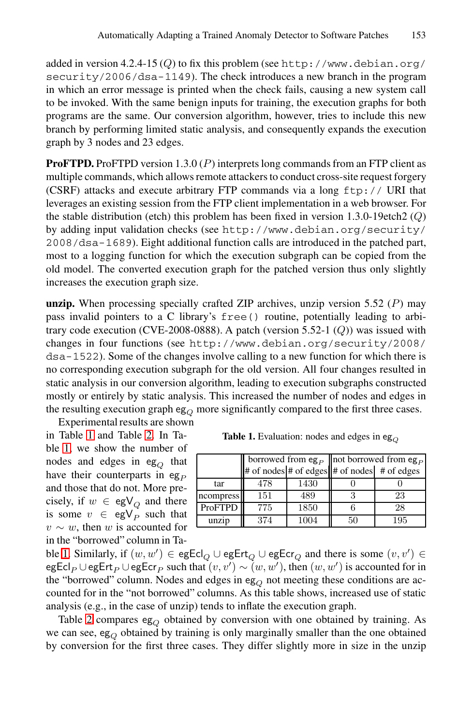added in version 4.2.4-15  $(Q)$  to fix this problem (see http://www.debian.org/ security/2006/dsa-1149). The check introduces a new branch in the program in which an error message is printed when th[e check fa](ftp://)ils, causing a new system call to be invoked. With the same benign inputs for training, the execution graphs for both programs are the same. Our conversion algorithm, however, tries to include this new branch by perform[ing limited static analysis, and consequently ex](http://www.debian.org/security/2008/dsa-1689)pands the execution graph by 3 nodes and 23 edges.

**ProFTPD.** ProFTPD version 1.3.0  $(P)$  interprets long commands from an FTP client as multiple commands, which allows remote attackers to conduct cross-site request forgery (CSRF) attacks and execute arbitrary FTP commands via a long ftp:// URI that leverages an existing session from the FTP client implementation in a web browser. For the stable distribution (etch) this problem has been fixed in version 1.3.0-19etch2  $(Q)$ by adding input validation checks (see http://www.debian.org/security/ 2008/dsa-1689[\). Eight additional function calls are introduced](http://www.debian.org/security/2008/dsa-1522) in the patched part, most to a logging function for which the execution subgraph can be copied from the old model. The converted execution graph for the patched version thus only slightly increases the execution graph size.

**unzip.** When processing specially crafted ZIP archives, unzip version 5.52 (P) may pass invalid pointers to a C library's free() routine, potentially leading to arbitr[ary](#page-12-0) code execution (CVE-2008-0888). A patch (version 5.52-1  $(Q)$ ) was issued with changes in four functions (see http://www.debian.org/security/2008/ dsa-1522). Some of the changes involve calling to a new function for which there is no corresponding execution subgraph for the old version. All four changes resulted in static analysis in our conversion algorithm, leading to execution subgraphs constructed mostly or entirely by static analysis. This increased the number of nodes and edges in the resulting execution graph  $eg_Q$  more significantly compared to the first three cases.<br>Experimental results are shown

Experimental results are shown in Table 1 and Table 2. In Table 1, we show the number of nodes and edges in eg<sub>Q</sub> that<br>have their counterparts in eg

have their counterparts in eg<sub>p</sub> and those that do not. More precisely, if  $w \in \text{egV}_Q$  and there is some  $v \in \text{egV}_P$  such that  $v \sim w$ , then w is accounted for in the "borrowed" column in Ta-

**Table 1.** Evaluation: nodes and edges in  $eg<sub>O</sub>$ *Q*

|                |     |      | borrowed from eg <sub>P</sub> not borrowed from eg <sub>P</sub> # of nodes # of edges |       |  |  |
|----------------|-----|------|---------------------------------------------------------------------------------------|-------|--|--|
|                |     |      |                                                                                       |       |  |  |
| tar            | 478 | 1430 |                                                                                       |       |  |  |
| ncompress      | 151 | 489  |                                                                                       | 23    |  |  |
| <b>ProFTPD</b> | 775 | 1850 |                                                                                       | 28    |  |  |
| unzip          | 374 | 1004 |                                                                                       | I Q.5 |  |  |

ble 1. Similarly, if  $(w, w') \in \text{egEcl}_Q \cup \text{egErt}_Q \cup \text{egEcr}_Q$  and there is some  $(v, v') \in \text{egEcl}_{\text{def}}$  leg  $\text{Ext}_{\text{def}}$  leg  $\text{Ext}_{\text{def}}$  leg  $\text{Ext}_{\text{def}}$  leg  $\text{Ext}_{\text{def}}$  leg  $\text{Ext}_{\text{def}}$  leg  $\text{Ext}_{\text{def}}$  leg  $\text{Ext}_{\text{def}}$  leg egEcl<sub>P</sub> ∪egErt<sub>P</sub> ∪egEcr<sub>P</sub> such that  $(v, v') \sim (w, w')$ , then  $(w, w')$  is accounted for in<br>the "borrowed" column. Nodes and edges in eq., not meeting these conditions are acthe "borrowed" column. Nodes and edges in eg<sub>Q</sub> not meeting these conditions are ac-<br>counted for in the "not borrowed" columns. As this table shows, increased use of station counted for in the "not borrowed" columns. As this table shows, increased use of static analysis (e.g., in the case of unzip) tends to inflate the execution graph.

Table 2 compares eg<sub>Q</sub> obtained by conversion with one obtained by training. As we can see,  $eg_Q$  obtained by training is only marginally smaller than the one obtained<br>by conversion for the first three cases. They differ slightly more in size in the unzin by conversion for the first three cases. They differ slightly more in size in the unzip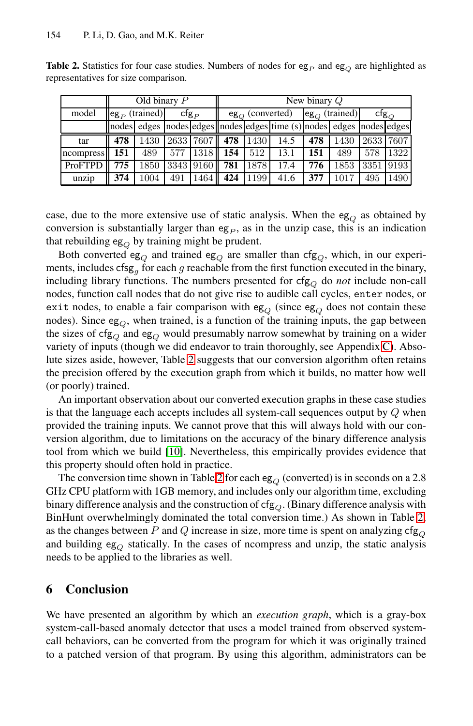|           | Old binary $P$ |                      |                  | New binary $Q$ |                         |      |                                                                      |                             |      |         |      |
|-----------|----------------|----------------------|------------------|----------------|-------------------------|------|----------------------------------------------------------------------|-----------------------------|------|---------|------|
| model     |                | $\log_{P}$ (trained) | ctg <sub>P</sub> |                | (converted)<br>$eg_{O}$ |      |                                                                      | $\log_{{\cal O}}$ (trained) |      | $ctg_Q$ |      |
|           |                |                      |                  |                |                         |      | nodes edges nodes edges nodes edges time (s) nodes edges nodes edges |                             |      |         |      |
| tar       | 478            | 1430                 |                  | 2633 7607      | 478                     | 1430 | 14.5                                                                 | 478                         | 1430 | 2633    | 7607 |
| ncompress | 151            | 489                  | 577              | 1318           | 154                     | 512  | 13.1                                                                 | 151                         | 489  | 578     | 1322 |
| ProFTPD   | 775            | 1850                 |                  | 3343 9160      | 781                     | 1878 | 17.4                                                                 | 776                         | 1853 | 3351    | 9193 |
| unzip     | 374            | 1004                 | 491              | 1464           | 424                     | 1199 | 41.6                                                                 | 377                         | 1017 | 495     | 1490 |

<span id="page-12-0"></span>**Table 2.** Statistics for four case studies. Numbers of nodes for  $eg_P$  and  $eg_Q$  are highlighted as representatives for size comparison.

case, due to the more extensive use of static analysis. When the eg<sub>Q</sub> as obtained by conversion is substantially larger than expansion the unzin case, this is an indication conversion is substantially larger than eg<sub>P</sub>, as in the unzip case, this is an indication<br>that rebuilding eq. by training might be prudent that rebuilding  $eg_Q$  by training might be prudent.<br>Both converted or and trained or are small

Both co[nv](#page-12-0)erted eg<sub>Q</sub> and trained eg<sub>Q</sub> are smaller than cfg<sub>Q</sub>, which, in our experi-<br>onts includes cfcg, for each a reachable from the first function executed in the binary ments, includes cfsg<sub>g</sub> for each g reachable from the first function executed in the binary,<br>including library functions. The numbers presented for cfg<sub>s</sub> do not include non-call including library functions. The numbers presented for  $cfg_Q$  do *not* include non-call<br>nodes function call nodes that do not give rise to sudible call quales, ontor nodes, or nodes, function call nodes that do not give rise to audible call cycles, enter nodes, or exit nodes, to enable a fair comparison with eg<sub>Q</sub> (since eg<sub>Q</sub> does not contain these<br>nodes). Since exactly then trained is a function of the training inputs the can between nodes). Since  $eg_Q$ , when trained, is a function of the training inputs, the gap between<br>the sizes of cfg. and eq. would presumably parrow somewhat by training on a wider the sizes of cfg<sub>Q</sub> and eg<sub>Q</sub> would presumably narrow somewhat by training on a wider<br>variety of inputs (though we did endeavor to train thoroughly see Annendix C). Abso variety [of](#page-13-7) inputs (though we did endeavor to train thoroughly, see Appendix C). Absolute sizes aside, however, Table 2 suggests that our conversion algorithm often retains the precision offe[red](#page-12-0) by the execution graph from which it builds, no matter how well (or poorly) trained.

An important observation about our converted execution graphs in these case studies is that the language each accepts i[nc](#page-12-0)ludes all system-call sequences output by  $Q$  when provided the training inputs. We cannot prove that this will always hold with our conversion algorithm, due to limitations on the accuracy of the binary difference analysis tool from which we build [10]. Nevertheless, this empirically provides evidence that this property should often hold in practice.

The conversion time shown in Table 2 for each  $eg_Q$  (converted) is in seconds on a 2.8<br>Lz CPU platform with 1GB memory, and includes only our algorithm time, excluding GHz CPU platform with 1GB memory, and includes only our algorithm time, excluding binary difference analysis and the construction of  $cfg_Q$ . (Binary difference analysis with BinHunt overwhelmingly dominated the total conversion time.) As shown in Table 2. BinHunt overwhelmingly dominated the total conversion time.) As shown in Table 2, as the changes between P and Q increase in size, more time is spent on analyzing cfg<sub> $\alpha$ </sub> and building  $eg_Q$  statically. In the cases of ncompress and unzip, the static analysis needs to be emplied to the libraries as well. needs to be applied to the libraries as well.

## **6 Conclusion**

We have presented an algorithm by which an *execution graph*, which is a gray-box system-call-based anomaly detector that uses a model trained from observed systemcall behaviors, can be converted from the program for which it was originally trained to a patched version of that program. By using this algorithm, administrators can be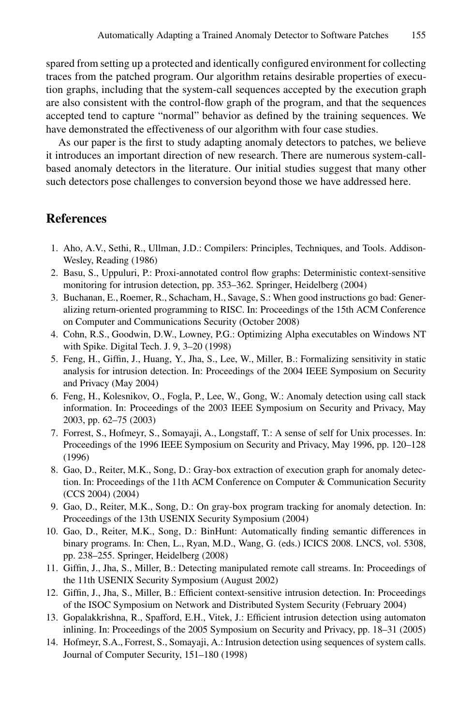spared from setting up a protected and identically configured environment for collecting traces from the patched program. Our algorithm retains desirable properties of execution graphs, including that the system-call sequences accepted by the execution graph are also consistent with the control-flow graph of the program, and that the sequences accepted tend to capture "normal" behavior as defined by the training sequences. We have demonstrated the effectiveness of our algorithm with four case studies.

As our paper is the first to study adapting anomaly detectors to patches, we believe it introduces an important direction of new research. There are numerous system-callbased anomaly detectors in the literature. Our initial studies suggest that many other such detectors pose challenges to conversion beyond those we have addressed here.

# **References**

- <span id="page-13-9"></span>1. Aho, A.V., Sethi, R., Ullman, J.D.: Compilers: Principles, Techniques, and Tools. Addison-Wesley, Reading (1986)
- <span id="page-13-3"></span>2. Basu, S., Uppuluri, P.: Proxi-annotated control flow graphs: Deterministic context-sensitive monitoring for intrusion detection, pp. 353–362. Springer, Heidelberg (2004)
- <span id="page-13-6"></span>3. Buchanan, E., Roemer, R., Schacham, H., Savage, S.: When good instructions go bad: Generalizing return-oriented programming to RISC. In: Proceedings of the 15th ACM Conference on Computer and Communications Security (October 2008)
- 4. Cohn, R.S., Goodwin, D.W., Lowney, P.G.: Optimizing Alpha executables on Windows NT with Spike. Digital Tech. J. 9, 3–20 (1998)
- <span id="page-13-0"></span>5. Feng, H., Giffin, J., Huang, Y., Jha, S., Lee, W., Miller, B.: Formalizing sensitivity in static analysis for intrusion detection. In: Proceedings of the 2004 IEEE Symposium on Security and Privacy (May 2004)
- 6. Feng, H., Kolesnikov, O., Fogla, P., Lee, W., Gong, W.: Anomaly detection using call stack information. In: Proceedings of the 2003 IEEE Symposium on Security and Privacy, May 2003, pp. 62–75 (2003)
- 7. Forrest, S., Hofmeyr, S., Somayaji, A., Longstaff, T.: A sense of self for Unix processes. In: Proceedings of the 1996 IEEE Symposium on Security and Privacy, May 1996, pp. 120–128 (1996)
- <span id="page-13-8"></span>8. Gao, D., Reiter, M.K., Song, D.: Gray-box extraction of execution graph for anomaly detection. In: Proceedings of the 11th ACM Conference on Computer & Communication Security (CCS 2004) (2004)
- 9. Gao, D., Reiter, M.K., Song, D.: On gray-box program tracking for anomaly detection. In: Proceedings of the 13th USENIX Security Symposium (2004)
- <span id="page-13-7"></span>10. Gao, D., Reiter, M.K., Song, D.: BinHunt: Automatically finding semantic differences in binary programs. In: Chen, L., Ryan, M.D., Wang, G. (eds.) ICICS 2008. LNCS, vol. 5308, pp. 238–255. Springer, Heidelberg (2008)
- <span id="page-13-1"></span>11. Giffin, J., Jha, S., Miller, B.: Detecting manipulated remote call streams. In: Proceedings of the 11th USENIX Security Symposium (August 2002)
- <span id="page-13-2"></span>12. Giffin, J., Jha, S., Miller, B.: Efficient context-sensitive intrusion detection. In: Proceedings of the ISOC Symposium on Network and Distributed System Security (February 2004)
- <span id="page-13-4"></span>13. Gopalakkrishna, R., Spafford, E.H., Vitek, J.: Efficient intrusion detection using automaton inlining. In: Proceedings of the 2005 Symposium on Security and Privacy, pp. 18–31 (2005)
- <span id="page-13-5"></span>14. Hofmeyr, S.A., Forrest, S., Somayaji, A.: Intrusion detection using sequences of system calls. Journal of Computer Security, 151–180 (1998)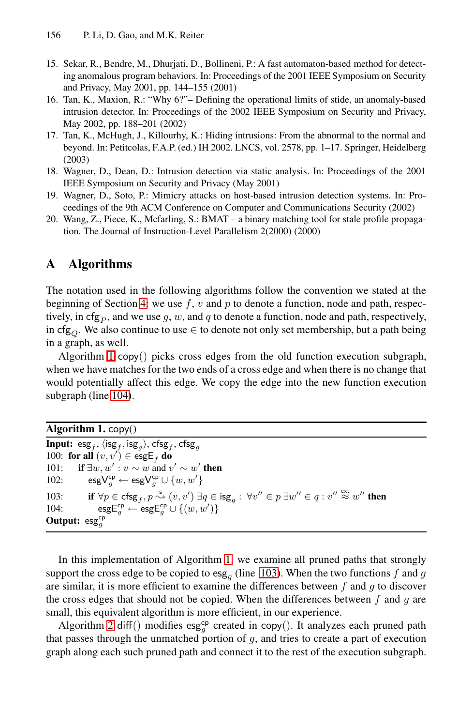- <span id="page-14-2"></span><span id="page-14-0"></span>15. Sekar, R., Bendre, M., Dhurjati, D., Bollineni, P.: A fast automaton-based method for detecting anomalous program behaviors. In: Proceedings of the 2001 IEEE Symposium on Security and Privacy, May 2001, pp. 144–155 (2001)
- <span id="page-14-3"></span><span id="page-14-1"></span>16. Tan, K., Maxion, R.: "Why 6?"– Defining the operational limits of stide, an anomaly-based intrusion detector. In: Proceedings of the 2002 IEEE Symposium on Security and Privacy, May 2002, pp. 188–201 (2002)
- <span id="page-14-4"></span>17. Tan, K., McHugh, J., Killourhy, K.: Hiding intrusions: From the abnormal to the normal and beyond. In: Petitcolas, F.A.P. (ed.) IH 2002. LNCS, vol. 2578, pp. 1–17. Springer, Heidelberg (2003)
- 18. Wagner, D., Dean, D.: Intrusion detection via static analysis. In: Proceedings of the 2001 IEEE Symposium on Security and Privacy (May 2001)
- [19.](#page-6-0) Wagner, D., Soto, P.: Mimicry attacks on host-based intrusion detection systems. In: Proceedings of the 9th ACM Conference on Computer and Communications Security (2002)
- 20. Wang, Z., Piece, K., Mcfarling, S.: BMAT a binary matching tool for stale profile propagation. The Journal of Instruction-Level Parallelism 2(2000) (2000)

# **A Algorithms**

The notation used in the following algorithms follow the convention we stated at the beginning of Section 4: we use  $f, v$  and  $p$  to denote a function, node and path, respectively, in cfg<sub>P</sub>, and we use g, w, and q to denote a function, node and path, respectively,<br>in cfg<sub>s</sub>, We also continue to use  $\in$  to denote not only set membership but a path being in cfg<sub>Q</sub>. We also continue to use ∈ to denote not only set membership, but a path being<br>in a graph as well in a graph, as well.

<span id="page-14-8"></span><span id="page-14-7"></span><span id="page-14-5"></span>Algorithm 1 copy() picks cross edges from the old function execution subgraph, when we have matches for the two ends of a cross edge and when there is no change that would potentially affect this edge. We copy the edge into the new function execution subgraph (line 104).

```
Algorithm 1. copy()
```
**Input:**  $\text{ess}_{f}$ ,  $\langle \text{isg}_{f}, \text{isg}_{g} \rangle$ ,  $\text{cfsg}_{f}$ ,  $\text{cfsg}_{g}$ <br>100: for all  $(v, v') \in \text{ess} F$ , do 100: **for all**  $(v, v') \in \text{esgE}_f$  $(v, v') \in \text{esgE}_f$  $(v, v') \in \text{esgE}_f$  **do**<br>
101: **if**  $\exists w, w' : v \in w$  and a 101: **if**  $\exists w, w' : v \sim w$  and  $v' \sim w'$  **then**<br>102:  $\cos(1/\epsilon) = \cos(1/\epsilon) + \sin(1/\epsilon)w$ 102:  $\qquad \text{esgV}^{\text{cp}}_{g} \leftarrow \text{esgV}^{\text{cp}}_{g} \cup \{w, w'\}$ 103: **if**  $\forall p \in \text{cfsg}_f, p \stackrel{s}{\leadsto} (v, v') \exists q \in \text{isg}_g : \forall v'' \in p \exists w'' \in q : v'' \stackrel{\text{ext}}{\approx} w''$  then<br>104:  $\text{sec} \mathbb{F}^{\text{cp}} \leftarrow \text{sec} \mathbb{F}^{\text{cp}} \cup \{(w, w')\}$ 104:  $\operatorname{essgE}^{\text{cp}}_g \leftarrow \operatorname{essgE}^{\text{cp}}_g \cup \{(w, w')\}$ **Output:**  $\text{ess}_{a}^{\text{cp}}$ *g*

In this implementation of Algorithm 1, we examine all pruned paths that strongly support the cross edge to be copied to esg<sub>g</sub> (line 103). When the two functions f and g and g and g to discover are similar, it is more efficient to examine the differences between  $f$  and  $q$  to discover the cross edges that should not be copied. When the differences between  $f$  and  $g$  are small, this equivalent algorithm is more efficient, in our experience.

Algorithm 2 diff() modifies  $\text{ess}_{g}^{cp}$  created in copy(). It analyzes each pruned path the space through the unmatched portion of a and tries to create a part of execution that passes through the unmatched portion of  $g$ , and tries to create a part of execution graph along each such pruned path and connect it to the rest of the execution subgraph.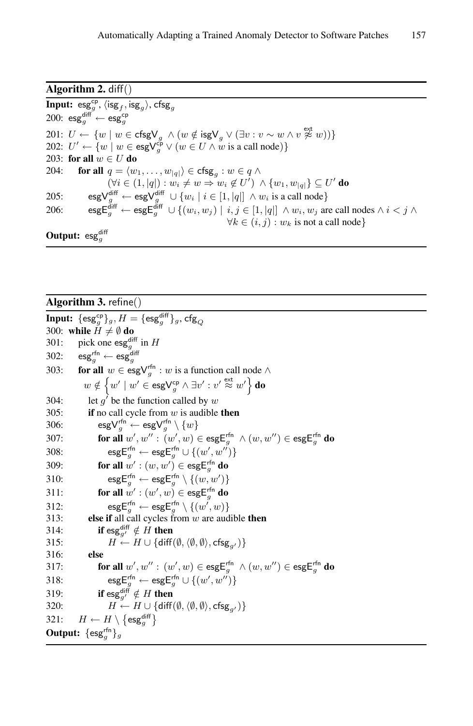## **Algorithm 2.** diff()

<span id="page-15-0"></span>**Input:** esg<sup>cp</sup>,  $\langle \text{isg}_f, \text{isg}_g \rangle$ , cfsg<sub>g</sub><br>200. aastronome 200:  $\operatorname{\sf esg}^{\operatorname{\sf diff}}_g$   $\leftarrow$   $\operatorname{\sf esg}^{\operatorname{\sf cp}}_g$ 201: *U* ←  $\{w \mid w \in \text{cfsgV}_g \land (w \notin \text{isgV}_g \lor (\exists v : v \sim w \land v \not\approx w))\}$ <br>202: *U'* ←  $\{w \mid w \in \text{escV}^{\text{CP}} \lor (w \in U \land w \text{ is a call node})$ 202:  $U' \leftarrow \{w \mid w \in \text{ess} \mathsf{V}_g^{\text{cp}} \vee (w \in U \wedge w \text{ is a call node})\}$ <br>203: for all  $w \in U$  do 203: **for all**  $w \in U$  **do**<br>204: **for all**  $q = \langle w \rangle$ 204: **for all**  $q = \langle w_1, \ldots, w_{|q|} \rangle \in \text{cfsg}_g : w \in q \land$ <br> $\langle \forall i \in (1, |\alpha|) : w_i \neq w_i \Rightarrow w_i \notin U' \rangle$  $(\forall i \in (1, |q|) : w_i \neq w \Rightarrow w_i \notin U') \land \{w_1, w_{|q|}\} \subseteq U'$  do  $\mathbf{d}^{\text{diff}}$   $\mathbf{d}^{\text{diff}}$   $\mathbf{d}^{\text{diff}}$   $\mathbf{d}^{\text{diff}}$   $\mathbf{d}^{\text{diff}}$   $\mathbf{d}^{\text{diff}}$   $\mathbf{d}^{\text{diff}}$   $\mathbf{d}^{\text{diff}}$   $\mathbf{d}^{\text{diff}}$   $\mathbf{d}^{\text{diff}}$   $\mathbf{d}^{\text{diff}}$   $\mathbf$ 205: esg $V^{\text{diff}}_g \leftarrow \text{esg}V^{\text{diff}}_g \cup \{w_i \mid i \in [1, |q|] \land w_i \text{ is a call node}\}\$ 206: esgE $\tilde{g}^{\text{diff}}$  ← esgE $\tilde{g}^{\text{diff}}$  ∪ { $(w_i, w_j) | i, j \in [1, |q|] \land w_i, w_j$  are call nodes  $\land i < j \land \forall k \in (i, j)$ ; *y<sub>1</sub>* is not a call node)  $∀k ∈ (i, j) : w_k$  is not a call node} **Output:**  $\text{esg}_{q}^{\text{diff}}$ 

## **Algorithm 3.** refine()

<span id="page-15-2"></span><span id="page-15-1"></span>*g*

<span id="page-15-7"></span><span id="page-15-6"></span><span id="page-15-5"></span><span id="page-15-4"></span><span id="page-15-3"></span>**Input:**  $\{\text{ess}_g^{\text{cp}}\}_g$ ,  $H = \{\text{ess}_g^{\text{diff}}\}_g$ ,  $\text{cfg}_Q$ <br>300: while  $H \neq \emptyset$  do 300: **while**  $H \neq \emptyset$  **do**<br>301: pick one esg<sup>de</sup> 301: pick one esg<sup>diff</sup> in *H*<br>202: par<sup>ffl</sup>, par<sup>diff</sup> 302:  $\operatorname{ess}_{g}^{\text{rfn}} \leftarrow \operatorname{ess}_{g}^{\text{diff}}$ 303: **for all**  $w \in \text{esgV}_g^{\text{rfn}}$  : *w* is a function call node ∧  $w \notin \left\{ w' \mid w' \in \text{essyCg}^p \land \exists v' : v' \stackrel{\text{ext}}{\approx} w' \right\}$  do 304: let *g'* be the function called by *w*<br>305: **if** no call cycle from *w* is audible 305: **if** no call cycle from *w* is audible **then**<br>306:  $\qquad \qquad \mathsf{esgV}^{\mathsf{rfn}} \leftarrow \mathsf{esgV}^{\mathsf{rfn}} \setminus \{w\}$ 306:  $\cos V_g^{\text{rfn}} \leftarrow \cos V_g^{\text{rfn}} \setminus \{w\}$ 307: **for all**  $w', w''$ :  $(w', w) \in \text{essgE}_g^{\text{rfn}} \wedge (w, w'') \in \text{essE}_g^{\text{rfn}}$  **do**<br>2006: **geographic conditional condition** 308:  $\exp E_g^{\text{rfn}} \leftarrow \exp E_g^{\text{rfn}} \cup \{(w', w'')\}$ 309: **for all**  $w'$  :  $(w, w') \in \text{essE}_g^{\text{rfn}}$  **do**<br>
210:  $\text{essE}_g^{\text{rfn}}$   $\text{essE}_g^{\text{rfn}}$  **do** 310:  $\text{ess} \mathsf{E}_g^{\text{rfn}} \leftarrow \text{ess} \mathsf{E}_g^{\text{rfn}} \setminus \{(w, w')\}$ <br>  $\text{ess} \mathsf{H}_{\text{g}}(w, w') \in \text{ess} \mathsf{F}_{\text{f}}^{\text{rfn}}$ 311: **for all**  $w'$  :  $(w', w) \in \text{essE}_g^{\text{rfn}}$  **do**<br>  $g \in \text{cosE}_g^{\text{rfn}}$  **do** 312:  $\operatorname{ess} \mathsf{E}_g^{\text{rfn}} \leftarrow \operatorname{ess} \mathsf{E}_g^{\text{rfn}} \setminus \{ (w', w) \}$ <br>313: **else if** all call cycles from w are and 313: **else if** all call cycles from *w* are audible **then**<br>314: **if**  $\operatorname{esg}^{\text{diff}} \notin H$  **then** 314: **if** esg<sup>diff</sup>  $\notin H$  **then**<br>315:  $H \leftarrow H \cup \text{Idiff}$ 315:  $H \leftarrow H \cup \{ \text{diff}(\emptyset, \langle \emptyset, \emptyset \rangle, \text{cfsg}_{g'}) \}$ <br>316: **else** 316: **else** 317: **for all**  $w', w'' : (w', w) \in \text{essgE}_g^{\text{rfn}} \land (w, w'') \in \text{essE}_g^{\text{rfn}}$  **do**<br>
219:  $\text{essgE}_g^{\text{rfn}}$  **do** 318:  $\exp E_{g}^{\text{rfn}} \leftarrow \exp E_{g}^{\text{rfn}} \cup \{(w', w'')\}$ <br>
<sup>210</sup>:  $\lim_{h \to 0} \exp \left\{ \frac{u}{h} \left( \frac{h}{h} \right)^{h} \right\}$ 319: **if**  $\operatorname{ess}_{g'}^{\text{diff}} \notin H$  **then**<br>320:  $H \leftarrow H + \text{Idiff}$ 320:  $H \leftarrow H \cup \{\text{diff}(\emptyset, \langle \emptyset, \emptyset \rangle, \text{cfsg}_g) \}$ <br>  $H \leftarrow H \cup \{\text{diff}(\emptyset, \langle \emptyset, \emptyset \rangle, \text{cfsg}_g) \}$ 321:  $H \leftarrow H \setminus$ <br> **Output:** {esg<sup>rfn</sup>}g  $\left\{ \text{esg}_{a}^{\text{diff}}\right\}$ *g*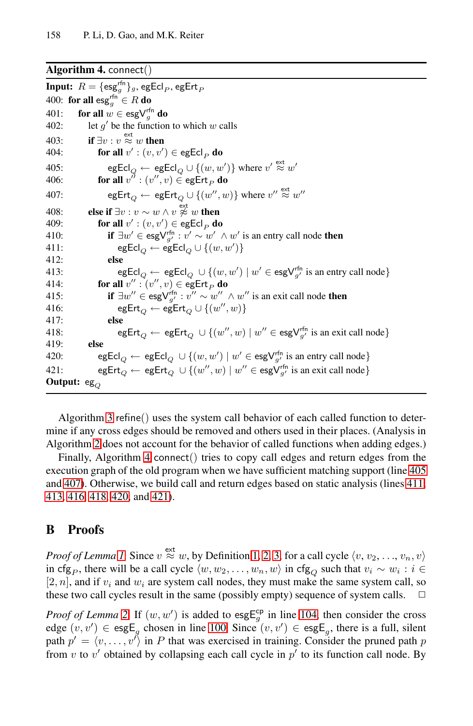<span id="page-16-6"></span><span id="page-16-3"></span><span id="page-16-2"></span><span id="page-16-1"></span>

| Algorithm 4. connect() |  |  |
|------------------------|--|--|
|------------------------|--|--|

<span id="page-16-5"></span><span id="page-16-4"></span>**Input:**  $R = \{\text{esg}_{g}^{\text{rfn}}\}_g$ , egEcl<sub>*P*</sub>, egErt<sub>*P*</sub></sub> 400. for all seg<sup>rfn</sup>  $\subseteq R$  de 400: **for all** esg<sup>rfn</sup> $\in$  *R* **do**<br>401: **for all**  $\in$  **com** $\in$  /<sup>rf</sup> 401: **for all**  $w \in \text{esgV}_{g}^{\text{rfn}}$  **do**<br>402: **let** *g'* be the function 402: let  $g'$  be the function to which *w* calls 403: **if**  $\exists v : v \stackrel{\text{ext}}{\approx} w$  **then**<br>404: **for all**  $v' : (v, v')$ 404: **for all**  $v'$  :  $(v, v') \in \text{egEcl}_P$  **do** 405: egEcl<sub>Q</sub> ← egEcl<sub>Q</sub> ∪ {(*w, w'*)} where  $v' \stackrel{\text{ext}}{\approx} w'$ <br>406: **for all**  $v'' : (v'', v) \in \text{egErt}_P$  **do** 407: egErt<sub>Q</sub> ← egErt<sub>Q</sub> ∪ {(*w''*, *w*)} where  $v'' \stackrel{\text{ext}}{\approx} w''$ 408: **else if**  $\exists v : v \sim w \land v \overset{\text{ext}}{\not\sim}$ <br>409: **for all**  $v' : (v, v') \in \mathcal{C}$ <sup>≈</sup> *w* **then** 409: **for all**  $v'$  :  $(v, v') \in$  egEcl<sub>*P*</sub> **do**<br>
110: **if**  $\exists w' \in$  esc V<sup>[fn</sup> · *v*<sup>'</sup>  $\in$   $\infty$ <sup>*w*'</sup> 410: **if**  $\exists w' \in \text{essV}_{g'}^{f_n}: v' \sim w' \land w'$  is an entry call node **then**<br>411:  $\bullet$   $\text{arg}$   $\text{Ed}$   $\leftarrow$   $\text{arg}$   $\text{Ed}$   $\leftarrow$   $\text{Log}$   $\text{Ed}$   $\leftarrow$   $\text{Log}$   $\text{Ed}$   $\leftarrow$   $\text{Log}$   $\text{Ed}$   $\leftarrow$   $\text{Log}$   $\text{Ad}$   $\text{Ad}$   $\text{Ad}$ 411:  $e$ gEcl<sub>*Q</sub>* ← egEcl<sub>*Q</sub>* ∪ {(*w*, *w'*)}<br>412: else</sub></sub> 412: **else** 413:  $\operatorname{egEc}_Q \leftarrow \operatorname{egEc}_Q \cup \{(w, w') \mid w' \in \operatorname{esgV}_{g'}^{\text{fn}} \text{ is an entry call node}\}\$ <br>  $414$ :  $\operatorname{for all } w'' \cdot (w'' \text{ a}) \in \operatorname{erFrt}$  **do** 414: **for all**  $v''$  :  $(v'', v) \in$  egErt<sub>*P*</sub> **do**<br>
415: **if**  $\exists w'' \in$  egg\r<sup>fn</sup> :  $v'' \in v'''$ 415: **if**  $\exists w'' \in \text{essV}_{g'}^{\text{fm}} : v'' \sim w'' \wedge w''$  is an exit call node **then**<br>416:  $\text{erFrt} \leftarrow \text{erFrt} \cup \{w'' \mid w\}$ 416:  $\qquad \qquad \mathbf{a} \sqcup \mathbf{a} \sqcup \mathbf{b} \sqcup \mathbf{c} \sqcup \{w'',w\}$ <br>
417:  $\qquad \qquad \mathbf{a} \sqcup \mathbf{c} \qquad \qquad \mathbf{e} \sqcup \{w'',w\}$ 417: **else** 418: egErt<sub>*Q*</sub> ← egErt<sub>*Q*</sub> ∪ {(*w*<sup>"</sup>, *w*) | *w*<sup>"</sup> ∈ esgV<sub>g</sub><sup>t</sup><sup>fn</sup></sub> is an exit call node} 419: **else** 4[20:](#page-16-1) egEcl<sub>Q</sub> ← egEcl<sub>Q</sub> ∪ {(*w, w'*) | *w'* ∈ esgV<sup>rfn</sup> is an entry call node} 421: egErt<sub>*Q*</sub> ← egErt<sub>*Q*</sub> ∪ {(*w''*, *w*) | *w''* ∈ esgV<sup>rfn</sup> is an e[xit ca](#page-16-2)ll node}<br>Output: eg. **Output:** eg

<span id="page-16-0"></span>Algorithm 3 refine() uses the system call behavior of each called function to determine if any cross edges should be removed and others used in their places. (Analysis in Algorithm 2 does not account for the behavior of called functions when adding edges.)

Finally, Algorithm 4 c[on](#page-2-1)[ne](#page-3-0)[ct](#page-4-1)() tries to copy call edges and return edges from the execution graph of the old program when we have sufficient matching support (line 405 and 407). Otherwise, we build call and return edges based on static analysis (lines 411, 413, 416, 418, 420, and 421).

# **B Proofs**

 $\overline{a}$ 

*Proof of Lemma 1.* Since  $v \approx w$ , by Definition 1, 2, 3, for a call cycle  $\langle v, v_2, ..., v_n, v \rangle$ <br>in cfg<sub>-</sub> there will be a call cycle  $\langle w, w_0, ..., w \rangle$  in cfg<sub>-</sub> such that  $v_i \approx w_i : i \in$ in cfg<sub>P</sub>, there will be a call cycle  $\langle w, w_2, \dots, w_n, w \rangle$  in cfg<sub>Q</sub> such that  $v_i \sim w_i : i \in$  [2, n] and if *y<sub>i</sub>* and *y<sub>y</sub>* are system call nodes, they must make the same system call so [2, n], and if  $v_i$  and  $w_i$  are system call nodes, they must make the same system call, so these two call cycles result in the same (possibly empty) sequence of system calls.  $\Box$ these two call cycles result in the same (possibly empty) sequence of system calls. ✷

*Proof of Lemma 2.* If  $(w, w')$  is added to  $\text{ess} \mathsf{E}_g^{\text{cp}}$  in line 104, then consider the cross edge  $(w, w') \in \text{ess} \mathsf{E}$  chosen in line 100. Since  $(w, w') \in \text{ess} \mathsf{E}$  there is a full silent edge  $(v, v') \in \text{ess} \mathsf{E}_g$  chosen in line 100. Since  $(v, v') \in \text{ess} \mathsf{E}_g$ , there is a full, silent<br>path  $v' = \langle v, v' \rangle$  in P that was exercised in training. Consider the pruned path x path  $p' = \langle v, \ldots, v' \rangle$  in P that was exercised in training. Consider the pruned path p<br>from v to v' obtained by collapsing each call cycle in v' to its function call node. By from v to v' obtained by collapsing each call cycle in  $p'$  to its function call node. By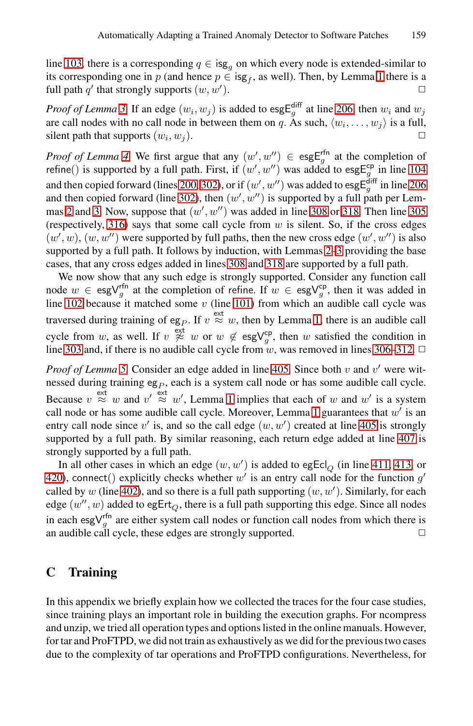line 103, there is a corresponding  $q \in \text{isg}_q$  on which every no[de is](#page-14-6) extended-similar to its corres[pond](#page-15-0)ing one in p (and hence  $p \in \text{isg}_t$ , as well). The[n, by](#page-15-2) Lemma 1 there is a full path  $q'$  [that](#page-15-1) [stro](#page-15-1)ngly supports  $(w, w'$ ).  $\qquad \qquad \Box$ 

*Proof of Lemma 3.* If an edge  $(w_i, w_j)$  [is ad](#page-15-3)d[ed to](#page-15-4) esg E<sup>diff</sup> at [line 2](#page-15-5)06, then  $w_i$  and  $w_j$  are call nodes with no call node in between them on a As such  $(w_i - w_j)$  is a full are call nodes with no call node in between them on q. As such,  $\langle w_i, \dots, w_j \rangle$  is a full, silent nath that supports  $(w_i, w_j)$ silent path that supports  $(w_i, w_j)$ .

*Proof of Lemma 4.* [We fi](#page-15-3)rst [argu](#page-15-4)e that a[ny](#page-7-1)  $(w', w'') \in \text{essE}_g^{\text{effn}}$  $(w', w'') \in \text{essE}_g^{\text{effn}}$  at the completion of refine() is supported by a full path. First if  $(w', w'')$  was added to esg  $\text{E}^{\text{CP}}$  in line 104 refine() is supported by a full path. First, if  $(w', w'')$  was added to esgE<sup>cp</sup> in line 104 and then copied forward (lines 200, 302), or if  $(w', w'')$  was added to esg  $E_g^{\text{diff}}$  in line 206 and then copied forward (line 302), then  $(w', w'')$  is supported by a full path per Lemand then copied forw[ard \(l](#page-14-8)ine 302), then  $(w', w'')$  is supported by a full path per Lem-<br>mas 2 and 3. Now suppose that  $(w', w'')$  was added in line 308 or 318. Then line 305 mas 2 and 3. Now, suppose that  $(w', w'')$  was added in line 308 or 318. Then line 305<br>(respectively 316) says that some call cycle from w is silent. So, if the cross edges (respectively, 316) says that some call [cy](#page-4-0)cle from  $w$  is silent. So, if the cross edges  $(w', w)$ ,  $(w, w'')$  were supported by full paths, then the new cross edge  $(w', w'')$  is also<br>supported by a full path. It follows by induction, with Lemmas 2–3 providing the base supported by a full path. It follows by induction, wit[h](#page-15-6) [Lem](#page-15-6)[mas](#page-15-7) 2–3 providing the base cases, that any cross edges ad[ded in](#page-16-2) lines 308 and 318 are supported by a full path.

We now show that any such edge is strongly supported. Consider any function call node  $w \in \text{ess}V_g^{\text{ffn}}$  at the completion of refine. If  $w \in \text{ess}V_g^{\text{cp}}$ , then it was added in<br>line 102 because it matched some y (line 101) from which an audible call cycle was line 102 because it [ma](#page-4-0)tched some  $v$  (li[ne](#page-4-0) 101) from which an audible call cycle was traversed during training of eg<sub>P</sub>. If  $v \approx w$ , then [by Le](#page-16-2)mma 1, there is an audible call cycle from w, as well. If  $v \stackrel{\text{ext}}{\neq} w$  or  $w \notin \text{essV}_g^{\text{cp}}$ , then w [sat](#page-16-3)isfied the condition in line 303 and, if there is no audible call cycle from w, was removed in lines 306–312.  $\Box$ 

*Proof of Lemma 5.* Consider an edge added in line 4[05.](#page-16-4) [S](#page-16-4)[ince](#page-16-5) both v and v' were wit-<br>nessed during training eg – each is a system call node or has some audible call cycle [n](#page-16-6)essed during training eg<sub>P</sub>, each is a system call node or has some audible call cycle. Because  $v \approx w$  and  $v' \approx w'$ , Lemma 1 implies that each of w and w' is a system<br>call node or has some audible call cycle. Moreover I emma 1 quarantees that w' is an call node or has some audible call cycle. Moreover, Lemma 1 guarantees that  $w'$  is an entry call node since  $v'$  is and so the call edge  $(w, w')$  created at line 405 is strongly entry call node since v' is, and so the call edge  $(w, w')$  created at line 405 is strongly<br>supported by a full path. By similar reasoning, each return edge added at line 407 is supported by a full path. By similar reasoning, each return edge added at line 407 is strongly supported by a full path.

In all other cases in which an edge  $(w, w')$  is added to egEcl<sub>Q</sub> (in line 411, 413, or<br>(i) connect() explicitly checks whether  $w'$  is an entry call node for the function of 420), connect() explicitly checks whether  $w'$  is an entry call node for the function  $g'$ <br>called by  $w$  (line 402), and so there is a full nath supporting  $(w, w')$ . Similarly, for each called by w (line 402), and so there is a full path supporting  $(w, w')$ . Similarly, for each edge  $(w'' - w)$  added to egency there is a full path supporting this edge. Since all podes edge  $(w'', w)$  added to egErt<sub>Q</sub>, there is a full path supporting this edge. Since all nodes in each esg $V_g^{cm}$  are either system call nodes or function call nodes from which there is<br>an audible call quale, these edges are strongly supported an audible call cycle, these edges are strongly supported.  $\Box$ 

# **C Training**

In this appendix we briefly explain how we collected the traces for the four case studies, since training plays an important role in building the execution graphs. For ncompress and unzip, we tried all operation types and options listed in the online manuals. However, for tar and ProFTPD, we did not train as exhaustively as we did for the previous two cases due to the complexity of tar operations and ProFTPD configurations. Nevertheless, for